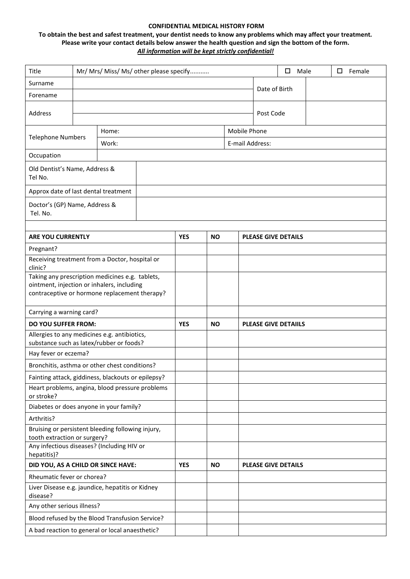## **CONFIDENTIAL MEDICAL HISTORY FORM**

## **To obtain the best and safest treatment, your dentist needs to know any problems which may affect your treatment. Please write your contact details below answer the health question and sign the bottom of the form.** *All information will be kept strictly confidential!*

| Title                                                                                       | Mr/ Mrs/ Miss/ Ms/ other please specify |       |            |           |  |                            | Male<br>$\Box$<br>□<br>Female |  |  |  |  |
|---------------------------------------------------------------------------------------------|-----------------------------------------|-------|------------|-----------|--|----------------------------|-------------------------------|--|--|--|--|
| Surname                                                                                     |                                         |       |            |           |  |                            |                               |  |  |  |  |
| Forename                                                                                    | Date of Birth                           |       |            |           |  |                            |                               |  |  |  |  |
| Address                                                                                     |                                         |       |            |           |  |                            | Post Code                     |  |  |  |  |
|                                                                                             |                                         | Home: |            |           |  |                            | Mobile Phone                  |  |  |  |  |
| <b>Telephone Numbers</b>                                                                    |                                         | Work: |            |           |  | E-mail Address:            |                               |  |  |  |  |
| Occupation                                                                                  |                                         |       |            |           |  |                            |                               |  |  |  |  |
| Old Dentist's Name, Address &<br>Tel No.                                                    |                                         |       |            |           |  |                            |                               |  |  |  |  |
| Approx date of last dental treatment                                                        |                                         |       |            |           |  |                            |                               |  |  |  |  |
| Doctor's (GP) Name, Address &<br>Tel. No.                                                   |                                         |       |            |           |  |                            |                               |  |  |  |  |
|                                                                                             |                                         |       |            |           |  |                            |                               |  |  |  |  |
| <b>ARE YOU CURRENTLY</b>                                                                    |                                         |       | <b>YES</b> | <b>NO</b> |  | <b>PLEASE GIVE DETAILS</b> |                               |  |  |  |  |
| Pregnant?<br>Receiving treatment from a Doctor, hospital or                                 |                                         |       |            |           |  |                            |                               |  |  |  |  |
| clinic?                                                                                     |                                         |       |            |           |  |                            |                               |  |  |  |  |
| Taking any prescription medicines e.g. tablets,                                             |                                         |       |            |           |  |                            |                               |  |  |  |  |
| ointment, injection or inhalers, including<br>contraceptive or hormone replacement therapy? |                                         |       |            |           |  |                            |                               |  |  |  |  |
| Carrying a warning card?                                                                    |                                         |       |            |           |  |                            |                               |  |  |  |  |
| <b>DO YOU SUFFER FROM:</b>                                                                  |                                         |       | <b>YES</b> | <b>NO</b> |  |                            | <b>PLEASE GIVE DETAILS</b>    |  |  |  |  |
| Allergies to any medicines e.g. antibiotics,<br>substance such as latex/rubber or foods?    |                                         |       |            |           |  |                            |                               |  |  |  |  |
| Hay fever or eczema?                                                                        |                                         |       |            |           |  |                            |                               |  |  |  |  |
| Bronchitis, asthma or other chest conditions?                                               |                                         |       |            |           |  |                            |                               |  |  |  |  |
| Fainting attack, giddiness, blackouts or epilepsy?                                          |                                         |       |            |           |  |                            |                               |  |  |  |  |
| Heart problems, angina, blood pressure problems<br>or stroke?                               |                                         |       |            |           |  |                            |                               |  |  |  |  |
| Diabetes or does anyone in your family?                                                     |                                         |       |            |           |  |                            |                               |  |  |  |  |
| Arthritis?                                                                                  |                                         |       |            |           |  |                            |                               |  |  |  |  |
| Bruising or persistent bleeding following injury,<br>tooth extraction or surgery?           |                                         |       |            |           |  |                            |                               |  |  |  |  |
| Any infectious diseases? (Including HIV or                                                  |                                         |       |            |           |  |                            |                               |  |  |  |  |
| hepatitis)?                                                                                 |                                         |       |            |           |  |                            |                               |  |  |  |  |
| DID YOU, AS A CHILD OR SINCE HAVE:                                                          |                                         |       | <b>YES</b> | <b>NO</b> |  | <b>PLEASE GIVE DETAILS</b> |                               |  |  |  |  |
| Rheumatic fever or chorea?<br>Liver Disease e.g. jaundice, hepatitis or Kidney              |                                         |       |            |           |  |                            |                               |  |  |  |  |
| disease?                                                                                    |                                         |       |            |           |  |                            |                               |  |  |  |  |
| Any other serious illness?                                                                  |                                         |       |            |           |  |                            |                               |  |  |  |  |
| Blood refused by the Blood Transfusion Service?                                             |                                         |       |            |           |  |                            |                               |  |  |  |  |
| A bad reaction to general or local anaesthetic?                                             |                                         |       |            |           |  |                            |                               |  |  |  |  |